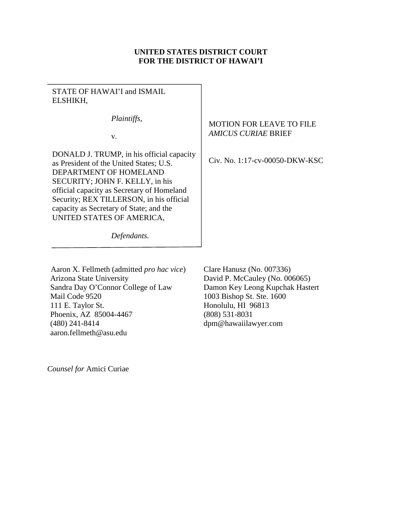# **UNITED STATES DISTRICT COURT FOR THE DISTRICT OF HAWAI'I**

STATE OF HAWAI'I and ISMAIL ELSHIKH,

*Plaintiffs*,

v.

DONALD J. TRUMP, in his official capacity as President of the United States; U.S. DEPARTMENT OF HOMELAND SECURITY; JOHN F. KELLY, in his official capacity as Secretary of Homeland Security; REX TILLERSON, in his official capacity as Secretary of State; and the UNITED STATES OF AMERICA,

# MOTION FOR LEAVE TO FILE *AMICUS CURIAE* BRIEF

Civ. No. 1:17-cv-00050-DKW-KSC

*Defendants.*

Aaron X. Fellmeth (admitted *pro hac vice*) Arizona State University Sandra Day O'Connor College of Law Mail Code 9520 111 E. Taylor St. Phoenix, AZ 85004-4467 (480) 241-8414 aaron.fellmeth@asu.edu Clare Hanusz (No. 007336) David P. McCauley (No. 006065) Damon Key Leong Kupchak Hastert 1003 Bishop St. Ste. 1600 Honolulu, HI 96813 (808) 531-8031 dpm@hawaiilawyer.com

*Counsel for* Amici Curiae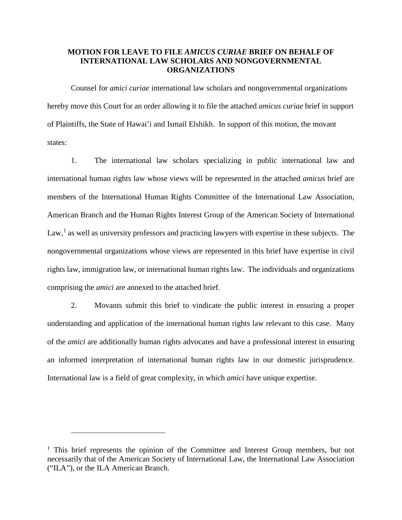# **MOTION FOR LEAVE TO FILE** *AMICUS CURIAE* **BRIEF ON BEHALF OF INTERNATIONAL LAW SCHOLARS AND NONGOVERNMENTAL ORGANIZATIONS**

Counsel for *amici curiae* international law scholars and nongovernmental organizations hereby move this Court for an order allowing it to file the attached *amicus curiae* brief in support of Plaintiffs, the State of Hawai'i and Ismail Elshikh. In support of this motion, the movant states:

1. The international law scholars specializing in public international law and international human rights law whose views will be represented in the attached *amicus* brief are members of the International Human Rights Committee of the International Law Association, American Branch and the Human Rights Interest Group of the American Society of International  $Law<sup>1</sup>$  $Law<sup>1</sup>$  $Law<sup>1</sup>$ , as well as university professors and practicing lawyers with expertise in these subjects. The nongovernmental organizations whose views are represented in this brief have expertise in civil rights law, immigration law, or international human rights law. The individuals and organizations comprising the *amici* are annexed to the attached brief.

2. Movants submit this brief to vindicate the public interest in ensuring a proper understanding and application of the international human rights law relevant to this case. Many of the *amici* are additionally human rights advocates and have a professional interest in ensuring an informed interpretation of international human rights law in our domestic jurisprudence. International law is a field of great complexity, in which *amici* have unique expertise.

<span id="page-1-0"></span> $1$  This brief represents the opinion of the Committee and Interest Group members, but not necessarily that of the American Society of International Law, the International Law Association ("ILA"), or the ILA American Branch.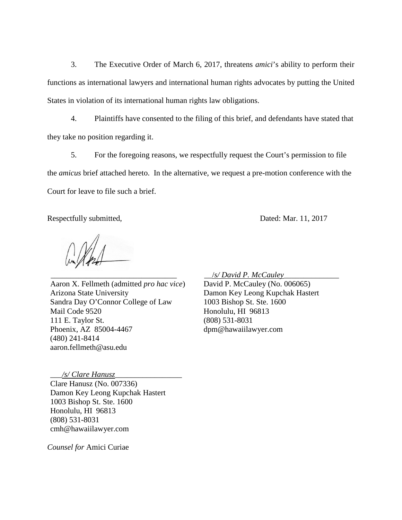3. The Executive Order of March 6, 2017, threatens *amici*'s ability to perform their functions as international lawyers and international human rights advocates by putting the United States in violation of its international human rights law obligations.

4. Plaintiffs have consented to the filing of this brief, and defendants have stated that they take no position regarding it.

5. For the foregoing reasons, we respectfully request the Court's permission to file the *amicus* brief attached hereto. In the alternative, we request a pre-motion conference with the Court for leave to file such a brief.

Respectfully submitted, Dated: Mar. 11, 2017

\_\_\_\_\_\_\_\_\_\_\_\_\_\_\_\_\_\_\_\_\_\_\_\_\_\_\_\_\_\_\_\_

Aaron X. Fellmeth (admitted *pro hac vice*) Arizona State University Sandra Day O'Connor College of Law Mail Code 9520 111 E. Taylor St. Phoenix, AZ 85004-4467 (480) 241-8414 aaron.fellmeth@asu.edu

\_\_\_*/s/ Clare Hanusz*\_\_\_\_\_\_\_\_\_\_\_\_\_\_\_\_\_

Clare Hanusz (No. 007336) Damon Key Leong Kupchak Hastert 1003 Bishop St. Ste. 1600 Honolulu, HI 96813 (808) 531-8031 cmh@hawaiilawyer.com

*Counsel for* Amici Curiae

\_\_/*s/ David P. McCauley*\_\_\_\_\_\_\_\_\_\_\_\_\_\_

David P. McCauley (No. 006065) Damon Key Leong Kupchak Hastert 1003 Bishop St. Ste. 1600 Honolulu, HI 96813 (808) 531-8031 dpm@hawaiilawyer.com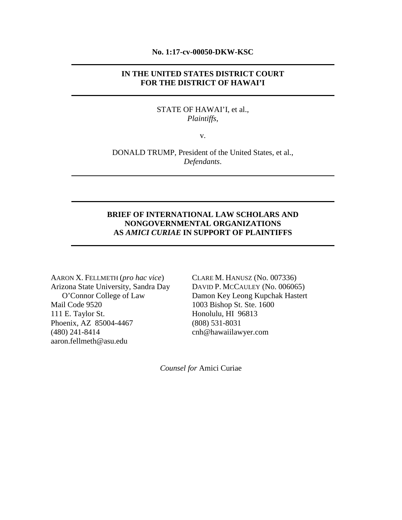#### **No. 1:17-cv-00050-DKW-KSC**

# **IN THE UNITED STATES DISTRICT COURT FOR THE DISTRICT OF HAWAI'I**

#### STATE OF HAWAI'I, et al., *Plaintiffs*,

v.

DONALD TRUMP, President of the United States, et al., *Defendants*.

# **BRIEF OF INTERNATIONAL LAW SCHOLARS AND NONGOVERNMENTAL ORGANIZATIONS AS** *AMICI CURIAE* **IN SUPPORT OF PLAINTIFFS**

AARON X. FELLMETH (*pro hac vice*) Arizona State University, Sandra Day O'Connor College of Law Mail Code 9520 111 E. Taylor St. Phoenix, AZ 85004-4467 (480) 241-8414 aaron.fellmeth@asu.edu

CLARE M. HANUSZ (No. 007336) DAVID P. MCCAULEY (No. 006065) Damon Key Leong Kupchak Hastert 1003 Bishop St. Ste. 1600 Honolulu, HI 96813 (808) 531-8031 cnh@hawaiilawyer.com

*Counsel for* Amici Curiae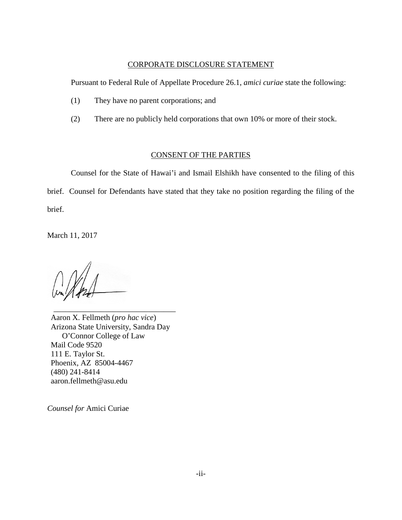#### CORPORATE DISCLOSURE STATEMENT

Pursuant to Federal Rule of Appellate Procedure 26.1, *amici curiae* state the following:

- (1) They have no parent corporations; and
- (2) There are no publicly held corporations that own 10% or more of their stock.

#### CONSENT OF THE PARTIES

Counsel for the State of Hawai'i and Ismail Elshikh have consented to the filing of this brief. Counsel for Defendants have stated that they take no position regarding the filing of the brief.

March 11, 2017

\_\_\_\_\_\_\_\_\_\_\_\_\_\_\_\_\_\_\_\_\_\_\_\_\_\_\_\_\_\_\_ Aaron X. Fellmeth (*pro hac vice*) Arizona State University, Sandra Day O'Connor College of Law Mail Code 9520 111 E. Taylor St. Phoenix, AZ 85004-4467 (480) 241-8414 aaron.fellmeth@asu.edu

*Counsel for* Amici Curiae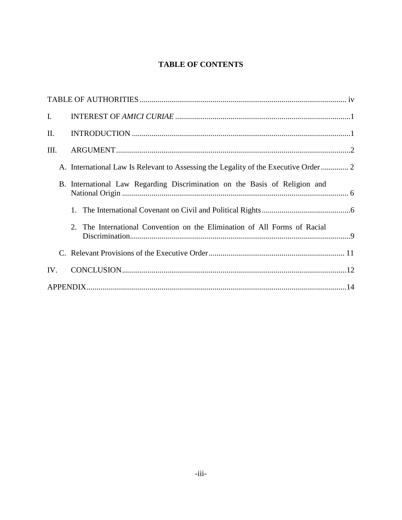# **TABLE OF CONTENTS**

| $\mathbf{I}$ . |                                                                                     |
|----------------|-------------------------------------------------------------------------------------|
| П.             |                                                                                     |
| Ш.             |                                                                                     |
|                | A. International Law Is Relevant to Assessing the Legality of the Executive Order 2 |
|                | B. International Law Regarding Discrimination on the Basis of Religion and          |
|                |                                                                                     |
|                | 2. The International Convention on the Elimination of All Forms of Racial           |
|                |                                                                                     |
| IV.            |                                                                                     |
|                |                                                                                     |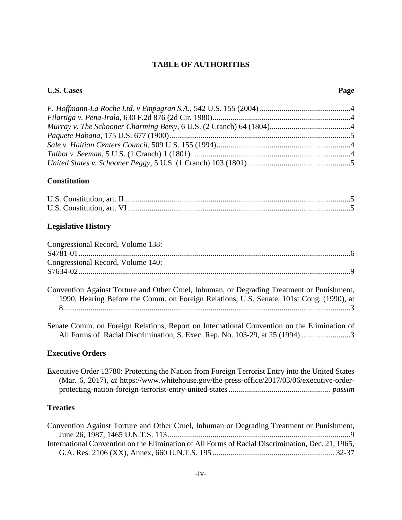#### **TABLE OF AUTHORITIES**

#### <span id="page-6-0"></span>**U.S. Cases Page**

#### **Constitution**

#### **Legislative History**

| Congressional Record, Volume 138: |  |
|-----------------------------------|--|
|                                   |  |
| Congressional Record, Volume 140: |  |
|                                   |  |
|                                   |  |

Convention Against Torture and Other Cruel, Inhuman, or Degrading Treatment or Punishment, 1990, Hearing Before the Comm. on Foreign Relations, U.S. Senate, 101st Cong. (1990), at 8.................................................................................................................................................[.3](#page-10-0)

Senate Comm. on Foreign Relations, Report on International Convention on the Elimination of All Forms of Racial Discrimination, S. Exec. Rep. No. 103-29, at 25 (1994) ........................[.3](#page-10-0)

#### **Executive Orders**

Executive Order 13780: Protecting the Nation from Foreign Terrorist Entry into the United States (Mar. 6, 2017), *at* https://www.whitehouse.gov/the-press-office/2017/03/06/executive-orderprotecting-nation-foreign-terrorist-entry-united-states.................................................... *passim*

# **Treaties**

| Convention Against Torture and Other Cruel, Inhuman or Degrading Treatment or Punishment,         |  |
|---------------------------------------------------------------------------------------------------|--|
|                                                                                                   |  |
| International Convention on the Elimination of All Forms of Racial Discrimination, Dec. 21, 1965, |  |
|                                                                                                   |  |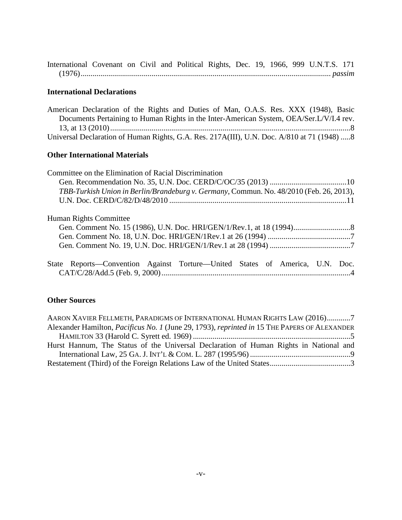International Covenant on Civil and Political Rights, Dec. 19, 1966, 999 U.N.T.S. 171 (1976)............................................................................................................................... *passim*

#### **International Declarations**

American Declaration of the Rights and Duties of Man, O.A.S. Res. XXX (1948), Basic Documents Pertaining to Human Rights in the Inter-American System, OEA/Ser.L/V/I.4 rev. 13, at 13 (2010).........................................................................................................................[.8](#page-15-0) Universal Declaration of Human Rights, G.A. Res. 217A(III), U.N. Doc. A/810 at 71 (1948) ....[.8](#page-15-0)

#### **Other International Materials**

| Committee on the Elimination of Racial Discrimination                                   |  |  |
|-----------------------------------------------------------------------------------------|--|--|
|                                                                                         |  |  |
| TBB-Turkish Union in Berlin/Brandeburg v. Germany, Commun. No. 48/2010 (Feb. 26, 2013), |  |  |
|                                                                                         |  |  |
|                                                                                         |  |  |
| Human Rights Committee                                                                  |  |  |
|                                                                                         |  |  |
|                                                                                         |  |  |
|                                                                                         |  |  |
|                                                                                         |  |  |
| State Reports—Convention Against Torture—United States of America, U.N. Doc.            |  |  |
|                                                                                         |  |  |
|                                                                                         |  |  |

# **Other Sources**

| AARON XAVIER FELLMETH, PARADIGMS OF INTERNATIONAL HUMAN RIGHTS LAW (2016)7                   |  |  |  |
|----------------------------------------------------------------------------------------------|--|--|--|
| Alexander Hamilton, Pacificus No. 1 (June 29, 1793), reprinted in 15 THE PAPERS OF ALEXANDER |  |  |  |
|                                                                                              |  |  |  |
| Hurst Hannum, The Status of the Universal Declaration of Human Rights in National and        |  |  |  |
|                                                                                              |  |  |  |
|                                                                                              |  |  |  |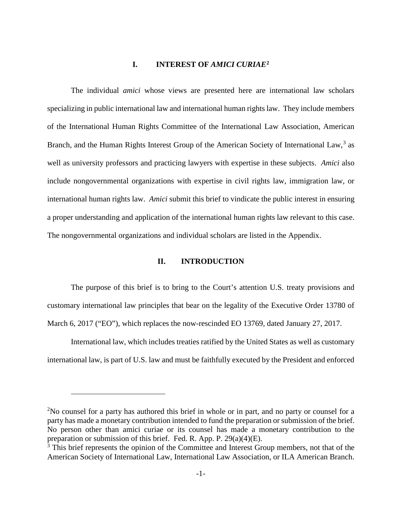#### **I. INTEREST OF** *AMICI CURIAE***[2](#page-8-2)**

<span id="page-8-0"></span>The individual *amici* whose views are presented here are international law scholars specializing in public international law and international human rights law. They include members of the International Human Rights Committee of the International Law Association, American Branch, and the Human Rights Interest Group of the American Society of International Law,<sup>[3](#page-8-3)</sup> as well as university professors and practicing lawyers with expertise in these subjects. *Amici* also include nongovernmental organizations with expertise in civil rights law, immigration law, or international human rights law. *Amici* submit this brief to vindicate the public interest in ensuring a proper understanding and application of the international human rights law relevant to this case. The nongovernmental organizations and individual scholars are listed in the Appendix.

#### **II. INTRODUCTION**

<span id="page-8-1"></span>The purpose of this brief is to bring to the Court's attention U.S. treaty provisions and customary international law principles that bear on the legality of the Executive Order 13780 of March 6, 2017 ("EO"), which replaces the now-rescinded EO 13769, dated January 27, 2017.

International law, which includes treaties ratified by the United States as well as customary international law, is part of U.S. law and must be faithfully executed by the President and enforced

<span id="page-8-2"></span> $2$ No counsel for a party has authored this brief in whole or in part, and no party or counsel for a party has made a monetary contribution intended to fund the preparation or submission of the brief. No person other than amici curiae or its counsel has made a monetary contribution to the preparation or submission of this brief. Fed. R. App. P. 29(a)(4)(E).

<span id="page-8-3"></span><sup>&</sup>lt;sup>3</sup> This brief represents the opinion of the Committee and Interest Group members, not that of the American Society of International Law, International Law Association, or ILA American Branch.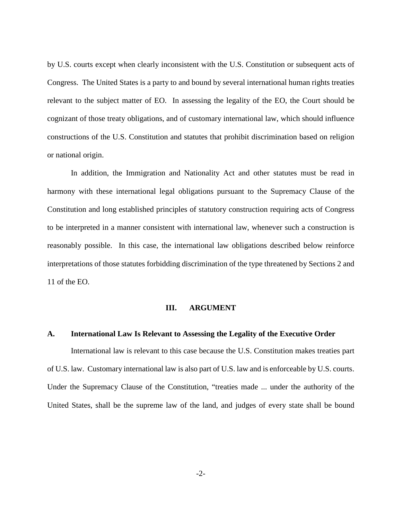by U.S. courts except when clearly inconsistent with the U.S. Constitution or subsequent acts of Congress. The United States is a party to and bound by several international human rights treaties relevant to the subject matter of EO. In assessing the legality of the EO, the Court should be cognizant of those treaty obligations, and of customary international law, which should influence constructions of the U.S. Constitution and statutes that prohibit discrimination based on religion or national origin.

In addition, the Immigration and Nationality Act and other statutes must be read in harmony with these international legal obligations pursuant to the Supremacy Clause of the Constitution and long established principles of statutory construction requiring acts of Congress to be interpreted in a manner consistent with international law, whenever such a construction is reasonably possible. In this case, the international law obligations described below reinforce interpretations of those statutes forbidding discrimination of the type threatened by Sections 2 and 11 of the EO.

#### **III. ARGUMENT**

#### <span id="page-9-1"></span><span id="page-9-0"></span>**A. International Law Is Relevant to Assessing the Legality of the Executive Order**

International law is relevant to this case because the U.S. Constitution makes treaties part of U.S. law. Customary international law is also part of U.S. law and is enforceable by U.S. courts. Under the Supremacy Clause of the Constitution, "treaties made ... under the authority of the United States, shall be the supreme law of the land, and judges of every state shall be bound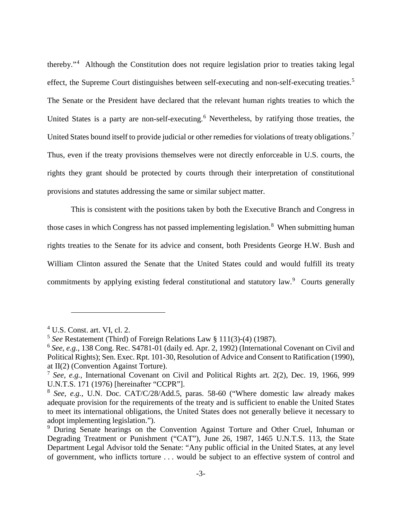<span id="page-10-9"></span>thereby."[4](#page-10-3) Although the Constitution does not require legislation prior to treaties taking legal effect, the Supreme Court distinguishes between self-executing and non-self-executing treaties.<sup>[5](#page-10-4)</sup> The Senate or the President have declared that the relevant human rights treaties to which the United States is a party are non-self-executing. [6](#page-10-5) Nevertheless, by ratifying those treaties, the United States bound itself to provide judicial or other remedies for violations of treaty obligations.<sup>[7](#page-10-6)</sup> Thus, even if the treaty provisions themselves were not directly enforceable in U.S. courts, the rights they grant should be protected by courts through their interpretation of constitutional provisions and statutes addressing the same or similar subject matter.

This is consistent with the positions taken by both the Executive Branch and Congress in those cases in which Congress has not passed implementing legislation.<sup>[8](#page-10-7)</sup> When submitting human rights treaties to the Senate for its advice and consent, both Presidents George H.W. Bush and William Clinton assured the Senate that the United States could and would fulfill its treaty commitments by applying existing federal constitutional and statutory law.<sup>[9](#page-10-8)</sup> Courts generally

<span id="page-10-3"></span><span id="page-10-1"></span> $4$  U.S. Const. art. VI, cl. 2.

<span id="page-10-4"></span><span id="page-10-2"></span><sup>5</sup> *See* Restatement (Third) of Foreign Relations Law § 111(3)-(4) (1987).

<span id="page-10-5"></span><sup>6</sup> *See, e.g.*, 138 Cong. Rec. S4781-01 (daily ed. Apr. 2, 1992) (International Covenant on Civil and Political Rights); Sen. Exec. Rpt. 101-30, Resolution of Advice and Consent to Ratification (1990), at II(2) (Convention Against Torture).

<span id="page-10-6"></span><sup>7</sup> *See, e.g.*, International Covenant on Civil and Political Rights art. 2(2), Dec. 19, 1966, 999 U.N.T.S. 171 (1976) [hereinafter "CCPR"].

<span id="page-10-7"></span><sup>8</sup> *See, e.g.*, U.N. Doc. CAT/C/28/Add.5, paras. 58-60 ("Where domestic law already makes adequate provision for the requirements of the treaty and is sufficient to enable the United States to meet its international obligations, the United States does not generally believe it necessary to adopt implementing legislation.").

<span id="page-10-8"></span><span id="page-10-0"></span><sup>&</sup>lt;sup>9</sup> During Senate hearings on the Convention Against Torture and Other Cruel, Inhuman or Degrading Treatment or Punishment ("CAT"), June 26, 1987, 1465 U.N.T.S. 113, the State Department Legal Advisor told the Senate: "Any public official in the United States, at any level of government, who inflicts torture . . . would be subject to an effective system of control and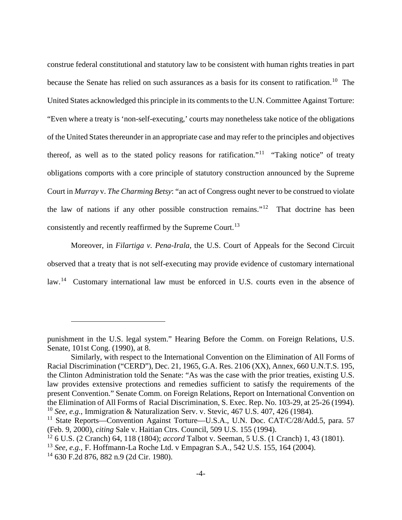construe federal constitutional and statutory law to be consistent with human rights treaties in part because the Senate has relied on such assurances as a basis for its consent to ratification.<sup>[10](#page-11-4)</sup> The United States acknowledged this principle in its comments to the U.N. Committee Against Torture: "Even where a treaty is 'non-self-executing,' courts may nonetheless take notice of the obligations of the United States thereunder in an appropriate case and may refer to the principles and objectives thereof, as well as to the stated policy reasons for ratification."<sup>11</sup> "Taking notice" of treaty obligations comports with a core principle of statutory construction announced by the Supreme Court in *Murray* v. *The Charming Betsy*: "an act of Congress ought never to be construed to violate the law of nations if any other possible construction remains."[12](#page-11-6) That doctrine has been consistently and recently reaffirmed by the Supreme Court.<sup>[13](#page-11-7)</sup>

Moreover, in *Filartiga v. Pena-Irala*, the U.S. Court of Appeals for the Second Circuit observed that a treaty that is not self-executing may provide evidence of customary international law.<sup>[14](#page-11-8)</sup> Customary international law must be enforced in U.S. courts even in the absence of

punishment in the U.S. legal system." Hearing Before the Comm. on Foreign Relations, U.S. Senate, 101st Cong. (1990), at 8.

Similarly, with respect to the International Convention on the Elimination of All Forms of Racial Discrimination ("CERD"), Dec. 21, 1965, G.A. Res. 2106 (XX), Annex, 660 U.N.T.S. 195, the Clinton Administration told the Senate: "As was the case with the prior treaties, existing U.S. law provides extensive protections and remedies sufficient to satisfy the requirements of the present Convention." Senate Comm. on Foreign Relations, Report on International Convention on the Elimination of All Forms of Racial Discrimination, S. Exec. Rep. No. 103-29, at 25-26 (1994). <sup>10</sup> *See, e.g.*, Immigration & Naturalization Serv. v. Stevic, 467 U.S. 407, 426 (1984).

<span id="page-11-5"></span><span id="page-11-4"></span><span id="page-11-3"></span><sup>&</sup>lt;sup>11</sup> State Reports—Convention Against Torture—U.S.A., U.N. Doc. CAT/C/28/Add.5, para. 57 (Feb. 9, 2000), *citing* Sale v. Haitian Ctrs. Council, 509 U.S. 155 (1994).

<span id="page-11-6"></span><span id="page-11-2"></span><sup>12</sup> 6 U.S. (2 Cranch) 64, 118 (1804); *accord* Talbot v. Seeman, 5 U.S. (1 Cranch) 1, 43 (1801).

<span id="page-11-7"></span><span id="page-11-0"></span><sup>13</sup> *See, e.g.*, F. Hoffmann-La Roche Ltd. v Empagran S.A., 542 U.S. 155, 164 (2004).

<span id="page-11-8"></span><span id="page-11-1"></span><sup>14</sup> 630 F.2d 876, 882 n.9 (2d Cir. 1980).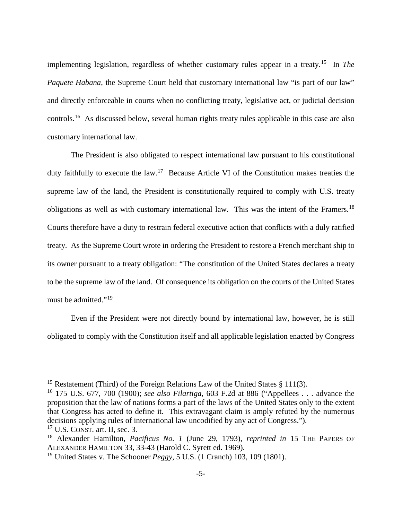implementing legislation, regardless of whether customary rules appear in a treaty. [15](#page-12-4) In *The Paquete Habana*, the Supreme Court held that customary international law "is part of our law" and directly enforceable in courts when no conflicting treaty, legislative act, or judicial decision controls.[16](#page-12-5) As discussed below, several human rights treaty rules applicable in this case are also customary international law.

The President is also obligated to respect international law pursuant to his constitutional duty faithfully to execute the law.<sup>[17](#page-12-6)</sup> Because Article VI of the Constitution makes treaties the supreme law of the land, the President is constitutionally required to comply with U.S. treaty obligations as well as with customary international law. This was the intent of the Framers.<sup>[18](#page-12-7)</sup> Courts therefore have a duty to restrain federal executive action that conflicts with a duly ratified treaty. As the Supreme Court wrote in ordering the President to restore a French merchant ship to its owner pursuant to a treaty obligation: "The constitution of the United States declares a treaty to be the supreme law of the land. Of consequence its obligation on the courts of the United States must be admitted."<sup>[19](#page-12-8)</sup>

Even if the President were not directly bound by international law, however, he is still obligated to comply with the Constitution itself and all applicable legislation enacted by Congress

<span id="page-12-4"></span><sup>&</sup>lt;sup>15</sup> Restatement (Third) of the Foreign Relations Law of the United States  $\S$  111(3).

<span id="page-12-5"></span><span id="page-12-0"></span><sup>16</sup> 175 U.S. 677, 700 (1900); *see also Filartiga*, 603 F.2d at 886 ("Appellees . . . advance the proposition that the law of nations forms a part of the laws of the United States only to the extent that Congress has acted to define it. This extravagant claim is amply refuted by the numerous decisions applying rules of international law uncodified by any act of Congress.").

<span id="page-12-6"></span><span id="page-12-2"></span> $17$  U.S. CONST. art. II, sec. 3.

<span id="page-12-7"></span><span id="page-12-3"></span><sup>18</sup> Alexander Hamilton, *Pacificus No. 1* (June 29, 1793), *reprinted in* 15 THE PAPERS OF ALEXANDER HAMILTON 33, 33-43 (Harold C. Syrett ed. 1969).

<span id="page-12-8"></span><span id="page-12-1"></span><sup>19</sup> United States v. The Schooner *Peggy*, 5 U.S. (1 Cranch) 103, 109 (1801).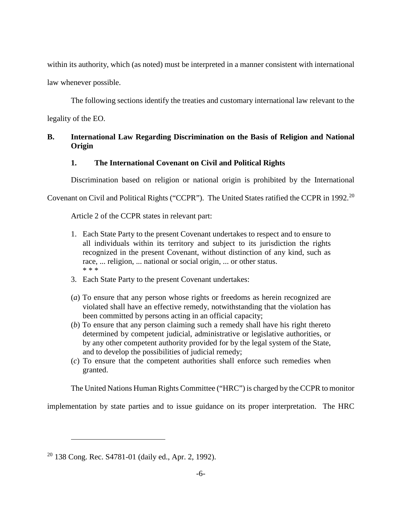within its authority, which (as noted) must be interpreted in a manner consistent with international

law whenever possible.

The following sections identify the treaties and customary international law relevant to the

legality of the EO.

# <span id="page-13-1"></span><span id="page-13-0"></span>**B. International Law Regarding Discrimination on the Basis of Religion and National Origin**

# **1. The International Covenant on Civil and Political Rights**

Discrimination based on religion or national origin is prohibited by the International

Covenant on Civil and Political Rights ("CCPR"). The United States ratified the CCPR in 1992.[20](#page-13-3)

Article 2 of the CCPR states in relevant part:

- 1. Each State Party to the present Covenant undertakes to respect and to ensure to all individuals within its territory and subject to its jurisdiction the rights recognized in the present Covenant, without distinction of any kind, such as race, ... religion, ... national or social origin, ... or other status. \* \* \*
- 3. Each State Party to the present Covenant undertakes:
- (*a*) To ensure that any person whose rights or freedoms as herein recognized are violated shall have an effective remedy, notwithstanding that the violation has been committed by persons acting in an official capacity;
- (*b*) To ensure that any person claiming such a remedy shall have his right thereto determined by competent judicial, administrative or legislative authorities, or by any other competent authority provided for by the legal system of the State, and to develop the possibilities of judicial remedy;
- (*c*) To ensure that the competent authorities shall enforce such remedies when granted.

The United Nations Human Rights Committee ("HRC") is charged by the CCPR to monitor

implementation by state parties and to issue guidance on its proper interpretation. The HRC

<span id="page-13-3"></span><span id="page-13-2"></span> $20$  138 Cong. Rec. S4781-01 (daily ed., Apr. 2, 1992).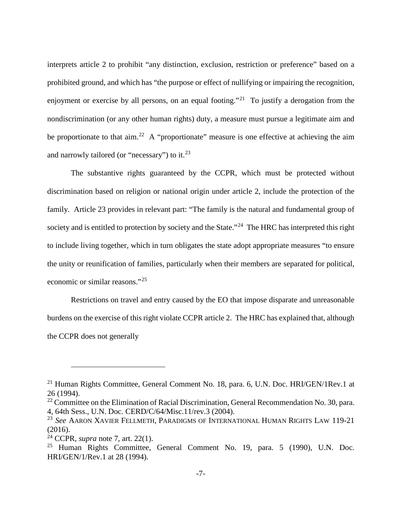<span id="page-14-8"></span>interprets article 2 to prohibit "any distinction, exclusion, restriction or preference" based on a prohibited ground, and which has "the purpose or effect of nullifying or impairing the recognition, enjoyment or exercise by all persons, on an equal footing."<sup>[21](#page-14-3)</sup> To justify a derogation from the nondiscrimination (or any other human rights) duty, a measure must pursue a legitimate aim and be proportionate to that  $\dim^{22}$  A "proportionate" measure is one effective at achieving the aim and narrowly tailored (or "necessary") to it.<sup>[23](#page-14-5)</sup>

The substantive rights guaranteed by the CCPR, which must be protected without discrimination based on religion or national origin under article 2, include the protection of the family. Article 23 provides in relevant part: "The family is the natural and fundamental group of society and is entitled to protection by society and the State."<sup>24</sup> The HRC has interpreted this right to include living together, which in turn obligates the state adopt appropriate measures "to ensure the unity or reunification of families, particularly when their members are separated for political, economic or similar reasons."[25](#page-14-7)

Restrictions on travel and entry caused by the EO that impose disparate and unreasonable burdens on the exercise of this right violate CCPR article 2. The HRC has explained that, although the CCPR does not generally

<span id="page-14-3"></span><span id="page-14-0"></span><sup>&</sup>lt;sup>21</sup> Human Rights Committee, General Comment No. 18, para. 6, U.N. Doc. HRI/GEN/1Rev.1 at 26 (1994).

<span id="page-14-4"></span> $22$  Committee on the Elimination of Racial Discrimination, General Recommendation No. 30, para. 4, 64th Sess., U.N. Doc. CERD/C/64/Misc.11/rev.3 (2004).

<span id="page-14-5"></span><span id="page-14-2"></span><sup>23</sup> *See* AARON XAVIER FELLMETH, PARADIGMS OF INTERNATIONAL HUMAN RIGHTS LAW 119-21 (2016).

<span id="page-14-6"></span><sup>24</sup> CCPR, *supra* note [7,](#page-10-9) art. 22(1).

<span id="page-14-7"></span><span id="page-14-1"></span><sup>&</sup>lt;sup>25</sup> Human Rights Committee, General Comment No. 19, para. 5 (1990), U.N. Doc. HRI/GEN/1/Rev.1 at 28 (1994).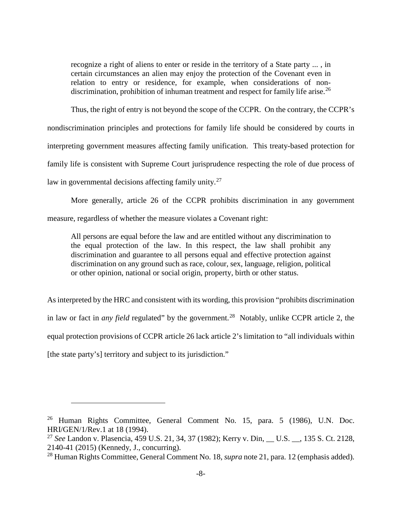recognize a right of aliens to enter or reside in the territory of a State party ... , in certain circumstances an alien may enjoy the protection of the Covenant even in relation to entry or residence, for example, when considerations of non-discrimination, prohibition of inhuman treatment and respect for family life arise.<sup>[26](#page-15-2)</sup>

Thus, the right of entry is not beyond the scope of the CCPR. On the contrary, the CCPR's nondiscrimination principles and protections for family life should be considered by courts in interpreting government measures affecting family unification. This treaty-based protection for family life is consistent with Supreme Court jurisprudence respecting the role of due process of law in governmental decisions affecting family unity.<sup>[27](#page-15-3)</sup>

More generally, article 26 of the CCPR prohibits discrimination in any government measure, regardless of whether the measure violates a Covenant right:

All persons are equal before the law and are entitled without any discrimination to the equal protection of the law. In this respect, the law shall prohibit any discrimination and guarantee to all persons equal and effective protection against discrimination on any ground such as race, colour, sex, language, religion, political or other opinion, national or social origin, property, birth or other status.

As interpreted by the HRC and consistent with its wording, this provision "prohibits discrimination in law or fact in *any field* regulated" by the government.<sup>28</sup> Notably, unlike CCPR article 2, the equal protection provisions of CCPR article 26 lack article 2's limitation to "all individuals within [the state party's] territory and subject to its jurisdiction."

<span id="page-15-2"></span><span id="page-15-1"></span><sup>26</sup> Human Rights Committee, General Comment No. 15, para. 5 (1986), U.N. Doc. HRI/GEN/1/Rev.1 at 18 (1994).

<span id="page-15-3"></span><sup>27</sup> *See* Landon v. Plasencia, 459 U.S. 21, 34, 37 (1982); Kerry v. Din, \_\_ U.S. \_\_, 135 S. Ct. 2128, 2140-41 (2015) (Kennedy, J., concurring).

<span id="page-15-4"></span><span id="page-15-0"></span><sup>28</sup> Human Rights Committee, General Comment No. 18, *supra* not[e 21,](#page-14-8) para. 12 (emphasis added).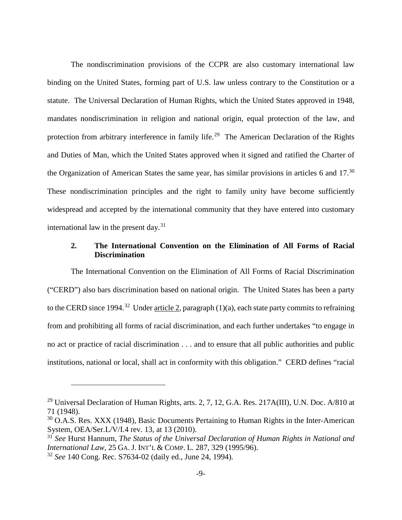The nondiscrimination provisions of the CCPR are also customary international law binding on the United States, forming part of U.S. law unless contrary to the Constitution or a statute. The Universal Declaration of Human Rights, which the United States approved in 1948, mandates nondiscrimination in religion and national origin, equal protection of the law, and protection from arbitrary interference in family life.<sup>29</sup> The American Declaration of the Rights and Duties of Man, which the United States approved when it signed and ratified the Charter of the Organization of American States the same year, has similar provisions in articles 6 and  $17.^{30}$  $17.^{30}$  $17.^{30}$ These nondiscrimination principles and the right to family unity have become sufficiently widespread and accepted by the international community that they have entered into customary international law in the present day. $31$ 

# <span id="page-16-2"></span><span id="page-16-0"></span>**2. The International Convention on the Elimination of All Forms of Racial Discrimination**

The International Convention on the Elimination of All Forms of Racial Discrimination ("CERD") also bars discrimination based on national origin. The United States has been a party to the CERD since 1994.<sup>32</sup> Under article 2, paragraph  $(1)(a)$ , each state party commits to refraining from and prohibiting all forms of racial discrimination, and each further undertakes "to engage in no act or practice of racial discrimination . . . and to ensure that all public authorities and public institutions, national or local, shall act in conformity with this obligation." CERD defines "racial

<span id="page-16-4"></span><sup>&</sup>lt;sup>29</sup> Universal Declaration of Human Rights, arts. 2, 7, 12, G.A. Res. 217A(III), U.N. Doc. A/810 at 71 (1948).

<span id="page-16-5"></span><sup>&</sup>lt;sup>30</sup> O.A.S. Res. XXX (1948), Basic Documents Pertaining to Human Rights in the Inter-American System, OEA/Ser.L/V/I.4 rev. 13, at 13 (2010).

<span id="page-16-6"></span><span id="page-16-3"></span><sup>31</sup> *See* Hurst Hannum, *The Status of the Universal Declaration of Human Rights in National and International Law*, 25 GA. J. INT'L & COMP. L. 287, 329 (1995/96).

<span id="page-16-7"></span><span id="page-16-1"></span><sup>32</sup> *See* 140 Cong. Rec. S7634-02 (daily ed., June 24, 1994).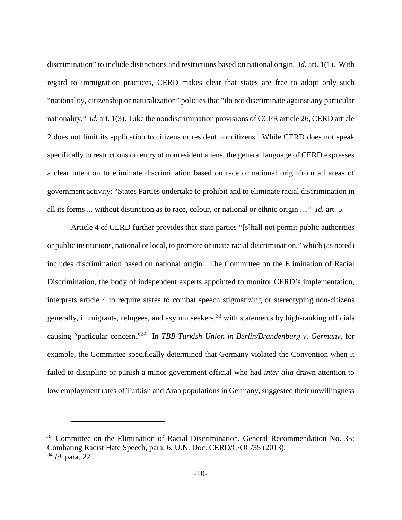discrimination" to include distinctions and restrictions based on national origin. *Id.* art. 1(1). With regard to immigration practices, CERD makes clear that states are free to adopt only such "nationality, citizenship or naturalization" policies that "do not discriminate against any particular nationality." *Id.* art. 1(3). Like the nondiscrimination provisions of CCPR article 26, CERD article 2 does not limit its application to citizens or resident noncitizens. While CERD does not speak specifically to restrictions on entry of nonresident aliens, the general language of CERD expresses a clear intention to eliminate discrimination based on race or national originfrom all areas of government activity: "States Parties undertake to prohibit and to eliminate racial discrimination in all its forms ... without distinction as to race, colour, or national or ethnic origin ...." *Id.* art. 5.

Article 4 of CERD further provides that state parties "[s]hall not permit public authorities or public institutions, national or local, to promote or incite racial discrimination," which (as noted) includes discrimination based on national origin. The Committee on the Elimination of Racial Discrimination, the body of independent experts appointed to monitor CERD's implementation, interprets article 4 to require states to combat speech stigmatizing or stereotyping non-citizens generally, immigrants, refugees, and asylum seekers,  $33$  with statements by high-ranking officials causing "particular concern."[34](#page-17-2) In *TBB-Turkish Union in Berlin/Brandenburg v. Germany*, for example, the Committee specifically determined that Germany violated the Convention when it failed to discipline or punish a minor government official who had *inter alia* drawn attention to low employment rates of Turkish and Arab populations in Germany, suggested their unwillingness

<span id="page-17-2"></span><span id="page-17-1"></span><span id="page-17-0"></span><sup>&</sup>lt;sup>33</sup> Committee on the Elimination of Racial Discrimination, General Recommendation No. 35: Combating Racist Hate Speech, para. 6, U.N. Doc. CERD/C/OC/35 (2013). <sup>34</sup> *Id.* para. 22.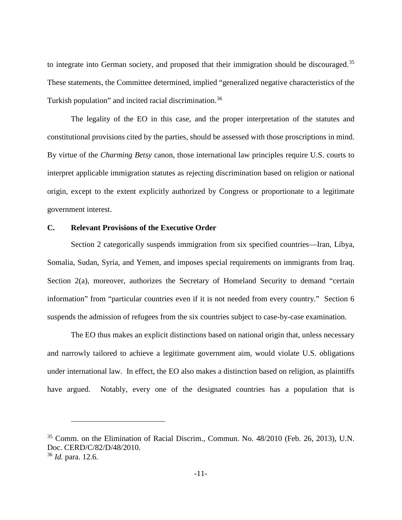to integrate into German society, and proposed that their immigration should be discouraged.<sup>[35](#page-18-2)</sup> These statements, the Committee determined, implied "generalized negative characteristics of the Turkish population" and incited racial discrimination.<sup>[36](#page-18-3)</sup>

The legality of the EO in this case, and the proper interpretation of the statutes and constitutional provisions cited by the parties, should be assessed with those proscriptions in mind. By virtue of the *Charming Betsy* canon, those international law principles require U.S. courts to interpret applicable immigration statutes as rejecting discrimination based on religion or national origin, except to the extent explicitly authorized by Congress or proportionate to a legitimate government interest.

#### <span id="page-18-0"></span>**C. Relevant Provisions of the Executive Order**

 $\overline{a}$ 

Section 2 categorically suspends immigration from six specified countries—Iran, Libya, Somalia, Sudan, Syria, and Yemen, and imposes special requirements on immigrants from Iraq. Section 2(a), moreover, authorizes the Secretary of Homeland Security to demand "certain" information" from "particular countries even if it is not needed from every country." Section 6 suspends the admission of refugees from the six countries subject to case-by-case examination.

The EO thus makes an explicit distinctions based on national origin that, unless necessary and narrowly tailored to achieve a legitimate government aim, would violate U.S. obligations under international law. In effect, the EO also makes a distinction based on religion, as plaintiffs have argued. Notably, every one of the designated countries has a population that is

<span id="page-18-3"></span><span id="page-18-2"></span><span id="page-18-1"></span><sup>35</sup> Comm. on the Elimination of Racial Discrim., Commun. No. 48/2010 (Feb. 26, 2013), U.N. Doc. CERD/C/82/D/48/2010. <sup>36</sup> *Id.* para. 12.6.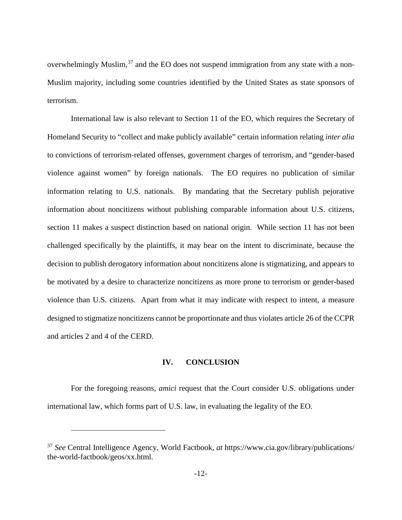<span id="page-19-1"></span>overwhelmingly Muslim, $37$  and the EO does not suspend immigration from any state with a non-Muslim majority, including some countries identified by the United States as state sponsors of terrorism.

International law is also relevant to Section 11 of the EO, which requires the Secretary of Homeland Security to "collect and make publicly available" certain information relating *inter alia*  to convictions of terrorism-related offenses, government charges of terrorism, and "gender-based violence against women" by foreign nationals. The EO requires no publication of similar information relating to U.S. nationals. By mandating that the Secretary publish pejorative information about noncitizens without publishing comparable information about U.S. citizens, section 11 makes a suspect distinction based on national origin. While section 11 has not been challenged specifically by the plaintiffs, it may bear on the intent to discriminate, because the decision to publish derogatory information about noncitizens alone is stigmatizing, and appears to be motivated by a desire to characterize noncitizens as more prone to terrorism or gender-based violence than U.S. citizens. Apart from what it may indicate with respect to intent, a measure designed to stigmatize noncitizens cannot be proportionate and thus violates article 26 of the CCPR and articles 2 and 4 of the CERD.

#### **IV. CONCLUSION**

<span id="page-19-0"></span>For the foregoing reasons, *amici* request that the Court consider U.S. obligations under international law, which forms part of U.S. law, in evaluating the legality of the EO.

<span id="page-19-2"></span><sup>37</sup> *See* Central Intelligence Agency, World Factbook, *at* https://www.cia.gov/library/publications/ the-world-factbook/geos/xx.html.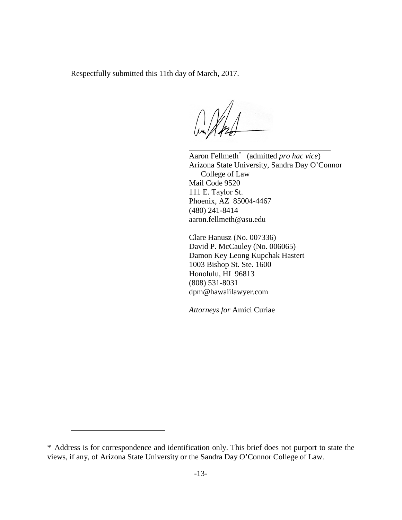Respectfully submitted this 11th day of March, 2017.

\_\_\_\_\_\_\_\_\_\_\_\_\_\_\_\_\_\_\_\_\_\_\_\_\_\_\_\_\_\_\_\_\_\_\_\_ Aaron Fellmeth<sup>\*</sup> (admitted *pro hac vice*) Arizona State University, Sandra Day O'Connor College of Law Mail Code 9520 111 E. Taylor St. Phoenix, AZ 85004-4467 (480) 241-8414 aaron.fellmeth@asu.edu

Clare Hanusz (No. 007336) David P. McCauley (No. 006065) Damon Key Leong Kupchak Hastert 1003 Bishop St. Ste. 1600 Honolulu, HI 96813 (808) 531-8031 dpm@hawaiilawyer.com

*Attorneys for* Amici Curiae

<span id="page-20-0"></span><sup>\*38</sup>Address is for correspondence and identification only. This brief does not purport to state the views, if any, of Arizona State University or the Sandra Day O'Connor College of Law.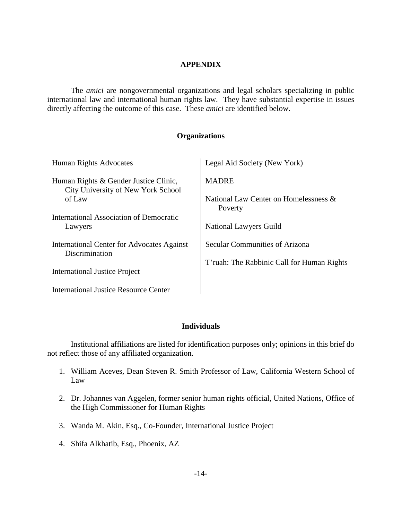#### **APPENDIX**

<span id="page-21-0"></span>The *amici* are nongovernmental organizations and legal scholars specializing in public international law and international human rights law. They have substantial expertise in issues directly affecting the outcome of this case. These *amici* are identified below.

#### **Organizations**

| Human Rights Advocates                                                      | Legal Aid Society (New York)                     |
|-----------------------------------------------------------------------------|--------------------------------------------------|
| Human Rights & Gender Justice Clinic,<br>City University of New York School | <b>MADRE</b>                                     |
| of Law                                                                      | National Law Center on Homelessness &<br>Poverty |
| International Association of Democratic<br>Lawyers                          | <b>National Lawyers Guild</b>                    |
| International Center for Advocates Against<br>Discrimination                | Secular Communities of Arizona                   |
| <b>International Justice Project</b>                                        | T'ruah: The Rabbinic Call for Human Rights       |
| International Justice Resource Center                                       |                                                  |

### **Individuals**

Institutional affiliations are listed for identification purposes only; opinions in this brief do not reflect those of any affiliated organization.

- 1. William Aceves, Dean Steven R. Smith Professor of Law, California Western School of Law
- 2. Dr. Johannes van Aggelen, former senior human rights official, United Nations, Office of the High Commissioner for Human Rights
- 3. Wanda M. Akin, Esq., Co-Founder, International Justice Project
- 4. Shifa Alkhatib, Esq., Phoenix, AZ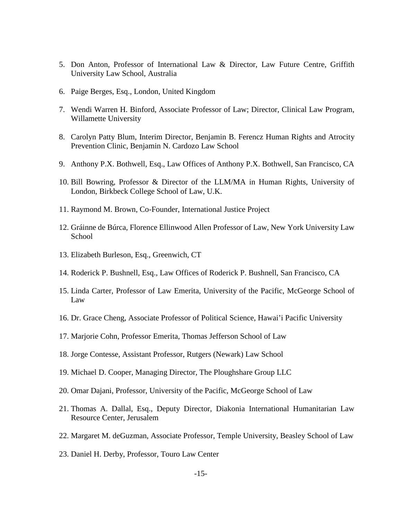- 5. Don Anton, Professor of International Law & Director, Law Future Centre, Griffith University Law School, Australia
- 6. Paige Berges, Esq., London, United Kingdom
- 7. Wendi Warren H. Binford, Associate Professor of Law; Director, Clinical Law Program, Willamette University
- 8. Carolyn Patty Blum, Interim Director, Benjamin B. Ferencz Human Rights and Atrocity Prevention Clinic, Benjamin N. Cardozo Law School
- 9. Anthony P.X. Bothwell, Esq., Law Offices of Anthony P.X. Bothwell, San Francisco, CA
- 10. Bill Bowring, Professor & Director of the LLM/MA in Human Rights, University of London, Birkbeck College School of Law, U.K.
- 11. Raymond M. Brown, Co-Founder, International Justice Project
- 12. Gráinne de Búrca, Florence Ellinwood Allen Professor of Law, New York University Law School
- 13. Elizabeth Burleson, Esq., Greenwich, CT
- 14. Roderick P. Bushnell, Esq., Law Offices of Roderick P. Bushnell, San Francisco, CA
- 15. Linda Carter, Professor of Law Emerita, University of the Pacific, McGeorge School of Law
- 16. Dr. Grace Cheng, Associate Professor of Political Science, Hawai'i Pacific University
- 17. Marjorie Cohn, Professor Emerita, Thomas Jefferson School of Law
- 18. Jorge Contesse, Assistant Professor, Rutgers (Newark) Law School
- 19. Michael D. Cooper, Managing Director, The Ploughshare Group LLC
- 20. Omar Dajani, Professor, University of the Pacific, McGeorge School of Law
- 21. Thomas A. Dallal, Esq., Deputy Director, Diakonia International Humanitarian Law Resource Center, Jerusalem
- 22. Margaret M. deGuzman, Associate Professor, Temple University, Beasley School of Law
- 23. Daniel H. Derby, Professor, Touro Law Center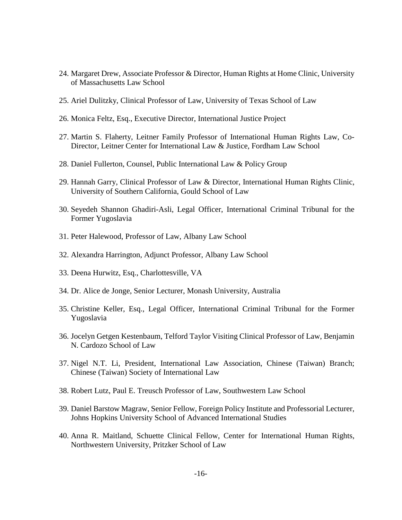- 24. Margaret Drew, Associate Professor & Director, Human Rights at Home Clinic, University of Massachusetts Law School
- 25. Ariel Dulitzky, Clinical Professor of Law, University of Texas School of Law
- 26. Monica Feltz, Esq., Executive Director, International Justice Project
- 27. Martin S. Flaherty, Leitner Family Professor of International Human Rights Law, Co-Director, Leitner Center for International Law & Justice, Fordham Law School
- 28. Daniel Fullerton, Counsel, Public International Law & Policy Group
- 29. Hannah Garry, Clinical Professor of Law & Director, International Human Rights Clinic, University of Southern California, Gould School of Law
- 30. Seyedeh Shannon Ghadiri-Asli, Legal Officer, International Criminal Tribunal for the Former Yugoslavia
- 31. Peter Halewood, Professor of Law, Albany Law School
- 32. Alexandra Harrington, Adjunct Professor, Albany Law School
- 33. Deena Hurwitz, Esq., Charlottesville, VA
- 34. Dr. Alice de Jonge, Senior Lecturer, Monash University, Australia
- 35. Christine Keller, Esq., Legal Officer, International Criminal Tribunal for the Former Yugoslavia
- 36. Jocelyn Getgen Kestenbaum, Telford Taylor Visiting Clinical Professor of Law, Benjamin N. Cardozo School of Law
- 37. Nigel N.T. Li, President, International Law Association, Chinese (Taiwan) Branch; Chinese (Taiwan) Society of International Law
- 38. Robert Lutz, Paul E. Treusch Professor of Law, Southwestern Law School
- 39. Daniel Barstow Magraw, Senior Fellow, Foreign Policy Institute and Professorial Lecturer, Johns Hopkins University School of Advanced International Studies
- 40. Anna R. Maitland, Schuette Clinical Fellow, Center for International Human Rights, Northwestern University, Pritzker School of Law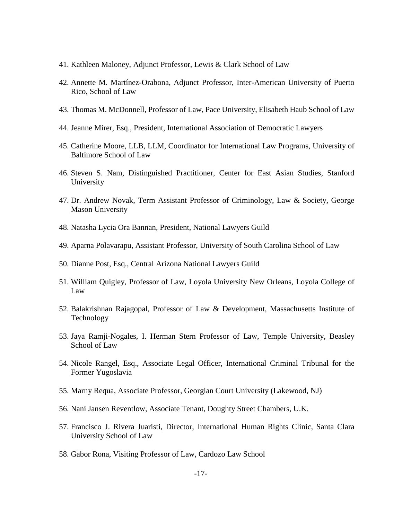- 41. Kathleen Maloney, Adjunct Professor, Lewis & Clark School of Law
- 42. Annette M. Martínez-Orabona, Adjunct Professor, Inter-American University of Puerto Rico, School of Law
- 43. Thomas M. McDonnell, Professor of Law, Pace University, Elisabeth Haub School of Law
- 44. Jeanne Mirer, Esq., President, International Association of Democratic Lawyers
- 45. Catherine Moore, LLB, LLM, Coordinator for International Law Programs, University of Baltimore School of Law
- 46. Steven S. Nam, Distinguished Practitioner, Center for East Asian Studies, Stanford University
- 47. Dr. Andrew Novak, Term Assistant Professor of Criminology, Law & Society, George Mason University
- 48. Natasha Lycia Ora Bannan, President, National Lawyers Guild
- 49. Aparna Polavarapu, Assistant Professor, University of South Carolina School of Law
- 50. Dianne Post, Esq., Central Arizona National Lawyers Guild
- 51. William Quigley, Professor of Law, Loyola University New Orleans, Loyola College of Law
- 52. Balakrishnan Rajagopal, Professor of Law & Development, Massachusetts Institute of Technology
- 53. Jaya Ramji-Nogales, I. Herman Stern Professor of Law, Temple University, Beasley School of Law
- 54. Nicole Rangel, Esq., Associate Legal Officer, International Criminal Tribunal for the Former Yugoslavia
- 55. Marny Requa, Associate Professor, Georgian Court University (Lakewood, NJ)
- 56. Nani Jansen Reventlow, Associate Tenant, Doughty Street Chambers, U.K.
- 57. Francisco J. Rivera Juaristi, Director, International Human Rights Clinic, Santa Clara University School of Law
- 58. Gabor Rona, Visiting Professor of Law, Cardozo Law School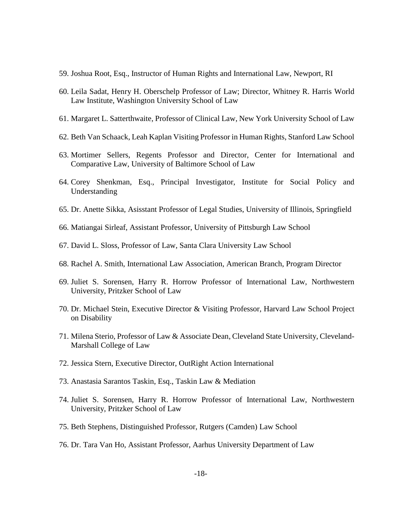- 59. Joshua Root, Esq., Instructor of Human Rights and International Law, Newport, RI
- 60. Leila Sadat, Henry H. Oberschelp Professor of Law; Director, Whitney R. Harris World Law Institute, Washington University School of Law
- 61. Margaret L. Satterthwaite, Professor of Clinical Law, New York University School of Law
- 62. Beth Van Schaack, Leah Kaplan Visiting Professor in Human Rights, Stanford Law School
- 63. Mortimer Sellers, Regents Professor and Director, Center for International and Comparative Law, University of Baltimore School of Law
- 64. Corey Shenkman, Esq., Principal Investigator, Institute for Social Policy and Understanding
- 65. Dr. Anette Sikka, Asisstant Professor of Legal Studies, University of Illinois, Springfield
- 66. Matiangai Sirleaf, Assistant Professor, University of Pittsburgh Law School
- 67. David L. Sloss, Professor of Law, Santa Clara University Law School
- 68. Rachel A. Smith, International Law Association, American Branch, Program Director
- 69. Juliet S. Sorensen, Harry R. Horrow Professor of International Law, Northwestern University, Pritzker School of Law
- 70. Dr. Michael Stein, Executive Director & Visiting Professor, Harvard Law School Project on Disability
- 71. Milena Sterio, Professor of Law & Associate Dean, Cleveland State University, Cleveland-Marshall College of Law
- 72. Jessica Stern, Executive Director, OutRight Action International
- 73. Anastasia Sarantos Taskin, Esq., Taskin Law & Mediation
- 74. Juliet S. Sorensen, Harry R. Horrow Professor of International Law, Northwestern University, Pritzker School of Law
- 75. Beth Stephens, Distinguished Professor, Rutgers (Camden) Law School
- 76. Dr. Tara Van Ho, Assistant Professor, Aarhus University Department of Law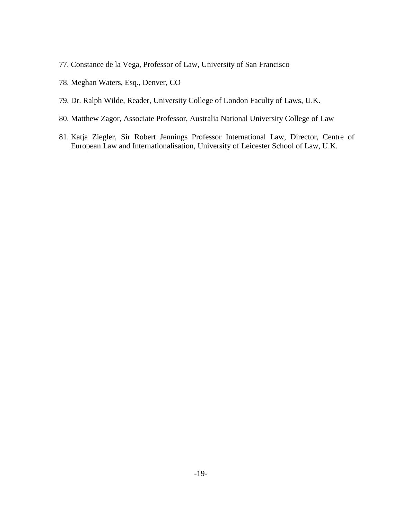- 77. Constance de la Vega, Professor of Law, University of San Francisco
- 78. Meghan Waters, Esq., Denver, CO
- 79. Dr. Ralph Wilde, Reader, University College of London Faculty of Laws, U.K.
- 80. Matthew Zagor, Associate Professor, Australia National University College of Law
- 81. Katja Ziegler, Sir Robert Jennings Professor International Law, Director, Centre of European Law and Internationalisation, University of Leicester School of Law, U.K.